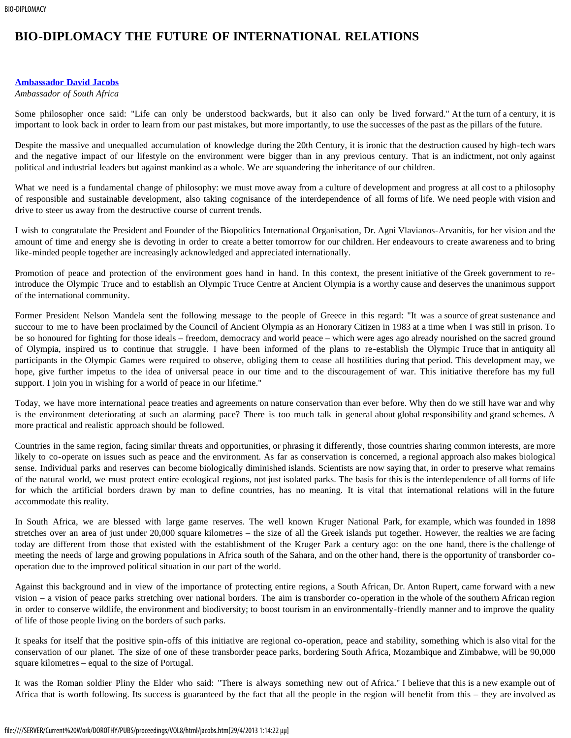## **BIO-DIPLOMACY THE FUTURE OF INTERNATIONAL RELATIONS**

## **[Ambassador David Jacobs](#page-1-0)**

## *Ambassador of South Africa*

Some philosopher once said: "Life can only be understood backwards, but it also can only be lived forward." At the turn of a century, it is important to look back in order to learn from our past mistakes, but more importantly, to use the successes of the past as the pillars of the future.

Despite the massive and unequalled accumulation of knowledge during the 20th Century, it is ironic that the destruction caused by high-tech wars and the negative impact of our lifestyle on the environment were bigger than in any previous century. That is an indictment, not only against political and industrial leaders but against mankind as a whole. We are squandering the inheritance of our children.

What we need is a fundamental change of philosophy: we must move away from a culture of development and progress at all cost to a philosophy of responsible and sustainable development, also taking cognisance of the interdependence of all forms of life. We need people with vision and drive to steer us away from the destructive course of current trends.

I wish to congratulate the President and Founder of the Biopolitics International Organisation, Dr. Agni Vlavianos-Arvanitis, for her vision and the amount of time and energy she is devoting in order to create a better tomorrow for our children. Her endeavours to create awareness and to bring like-minded people together are increasingly acknowledged and appreciated internationally.

Promotion of peace and protection of the environment goes hand in hand. In this context, the present initiative of the Greek government to reintroduce the Olympic Truce and to establish an Olympic Truce Centre at Ancient Olympia is a worthy cause and deserves the unanimous support of the international community.

Former President Nelson Mandela sent the following message to the people of Greece in this regard: "It was a source of great sustenance and succour to me to have been proclaimed by the Council of Ancient Olympia as an Honorary Citizen in 1983 at a time when I was still in prison. To be so honoured for fighting for those ideals – freedom, democracy and world peace – which were ages ago already nourished on the sacred ground of Olympia, inspired us to continue that struggle. I have been informed of the plans to re-establish the Olympic Truce that in antiquity all participants in the Olympic Games were required to observe, obliging them to cease all hostilities during that period. This development may, we hope, give further impetus to the idea of universal peace in our time and to the discouragement of war. This initiative therefore has my full support. I join you in wishing for a world of peace in our lifetime."

Today, we have more international peace treaties and agreements on nature conservation than ever before. Why then do we still have war and why is the environment deteriorating at such an alarming pace? There is too much talk in general about global responsibility and grand schemes. A more practical and realistic approach should be followed.

Countries in the same region, facing similar threats and opportunities, or phrasing it differently, those countries sharing common interests, are more likely to co-operate on issues such as peace and the environment. As far as conservation is concerned, a regional approach also makes biological sense. Individual parks and reserves can become biologically diminished islands. Scientists are now saying that, in order to preserve what remains of the natural world, we must protect entire ecological regions, not just isolated parks. The basis for this is the interdependence of all forms of life for which the artificial borders drawn by man to define countries, has no meaning. It is vital that international relations will in the future accommodate this reality.

In South Africa, we are blessed with large game reserves. The well known Kruger National Park, for example, which was founded in 1898 stretches over an area of just under 20,000 square kilometres – the size of all the Greek islands put together. However, the realties we are facing today are different from those that existed with the establishment of the Kruger Park a century ago: on the one hand, there is the challenge of meeting the needs of large and growing populations in Africa south of the Sahara, and on the other hand, there is the opportunity of transborder cooperation due to the improved political situation in our part of the world.

Against this background and in view of the importance of protecting entire regions, a South African, Dr. Anton Rupert, came forward with a new vision – a vision of peace parks stretching over national borders. The aim is transborder co-operation in the whole of the southern African region in order to conserve wildlife, the environment and biodiversity; to boost tourism in an environmentally-friendly manner and to improve the quality of life of those people living on the borders of such parks.

It speaks for itself that the positive spin-offs of this initiative are regional co-operation, peace and stability, something which is also vital for the conservation of our planet. The size of one of these transborder peace parks, bordering South Africa, Mozambique and Zimbabwe, will be 90,000 square kilometres – equal to the size of Portugal.

It was the Roman soldier Pliny the Elder who said: "There is always something new out of Africa." I believe that this is a new example out of Africa that is worth following. Its success is guaranteed by the fact that all the people in the region will benefit from this – they are involved as